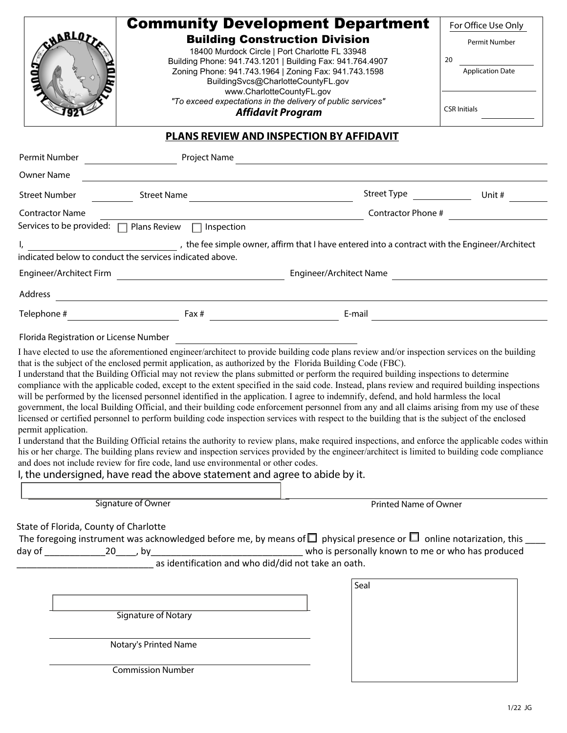| <b>SHARLOT</b>                        | <b>Community Development Department</b><br><b>Building Construction Division</b><br>18400 Murdock Circle   Port Charlotte FL 33948<br>Building Phone: 941.743.1201   Building Fax: 941.764.4907<br>Zoning Phone: 941.743.1964   Zoning Fax: 941.743.1598<br>BuildingSvcs@CharlotteCountyFL.gov<br>www.CharlotteCountyFL.gov<br>"To exceed expectations in the delivery of public services"<br><b>Affidavit Program</b>                                                                                                                                                                                                                                                                                                                                                                                                                                                                                                                                                                                                                                                                                                                                                                                                                                                                                                 |                                                   | For Office Use Only<br>Permit Number<br>20<br><b>Application Date</b><br><b>CSR Initials</b> |
|---------------------------------------|------------------------------------------------------------------------------------------------------------------------------------------------------------------------------------------------------------------------------------------------------------------------------------------------------------------------------------------------------------------------------------------------------------------------------------------------------------------------------------------------------------------------------------------------------------------------------------------------------------------------------------------------------------------------------------------------------------------------------------------------------------------------------------------------------------------------------------------------------------------------------------------------------------------------------------------------------------------------------------------------------------------------------------------------------------------------------------------------------------------------------------------------------------------------------------------------------------------------------------------------------------------------------------------------------------------------|---------------------------------------------------|----------------------------------------------------------------------------------------------|
|                                       |                                                                                                                                                                                                                                                                                                                                                                                                                                                                                                                                                                                                                                                                                                                                                                                                                                                                                                                                                                                                                                                                                                                                                                                                                                                                                                                        | <b>PLANS REVIEW AND INSPECTION BY AFFIDAVIT</b>   |                                                                                              |
|                                       |                                                                                                                                                                                                                                                                                                                                                                                                                                                                                                                                                                                                                                                                                                                                                                                                                                                                                                                                                                                                                                                                                                                                                                                                                                                                                                                        |                                                   |                                                                                              |
| Owner Name                            | <u> 1989 - Andrea Station, amerikansk politik (d. 1989)</u>                                                                                                                                                                                                                                                                                                                                                                                                                                                                                                                                                                                                                                                                                                                                                                                                                                                                                                                                                                                                                                                                                                                                                                                                                                                            |                                                   |                                                                                              |
| Street Number                         | Street Name                                                                                                                                                                                                                                                                                                                                                                                                                                                                                                                                                                                                                                                                                                                                                                                                                                                                                                                                                                                                                                                                                                                                                                                                                                                                                                            |                                                   |                                                                                              |
| <b>Contractor Name</b>                |                                                                                                                                                                                                                                                                                                                                                                                                                                                                                                                                                                                                                                                                                                                                                                                                                                                                                                                                                                                                                                                                                                                                                                                                                                                                                                                        |                                                   | Contractor Phone #                                                                           |
|                                       | Services to be provided: □ Plans Review □ Inspection                                                                                                                                                                                                                                                                                                                                                                                                                                                                                                                                                                                                                                                                                                                                                                                                                                                                                                                                                                                                                                                                                                                                                                                                                                                                   |                                                   |                                                                                              |
|                                       | I, meson with the feed imple owner, affirm that I have entered into a contract with the Engineer/Architect                                                                                                                                                                                                                                                                                                                                                                                                                                                                                                                                                                                                                                                                                                                                                                                                                                                                                                                                                                                                                                                                                                                                                                                                             |                                                   |                                                                                              |
|                                       | indicated below to conduct the services indicated above.                                                                                                                                                                                                                                                                                                                                                                                                                                                                                                                                                                                                                                                                                                                                                                                                                                                                                                                                                                                                                                                                                                                                                                                                                                                               |                                                   |                                                                                              |
|                                       |                                                                                                                                                                                                                                                                                                                                                                                                                                                                                                                                                                                                                                                                                                                                                                                                                                                                                                                                                                                                                                                                                                                                                                                                                                                                                                                        | Engineer/Architect Name                           |                                                                                              |
|                                       |                                                                                                                                                                                                                                                                                                                                                                                                                                                                                                                                                                                                                                                                                                                                                                                                                                                                                                                                                                                                                                                                                                                                                                                                                                                                                                                        |                                                   |                                                                                              |
|                                       |                                                                                                                                                                                                                                                                                                                                                                                                                                                                                                                                                                                                                                                                                                                                                                                                                                                                                                                                                                                                                                                                                                                                                                                                                                                                                                                        |                                                   |                                                                                              |
| permit application.                   | that is the subject of the enclosed permit application, as authorized by the Florida Building Code (FBC).<br>I understand that the Building Official may not review the plans submitted or perform the required building inspections to determine<br>compliance with the applicable coded, except to the extent specified in the said code. Instead, plans review and required building inspections<br>will be performed by the licensed personnel identified in the application. I agree to indemnify, defend, and hold harmless the local<br>government, the local Building Official, and their building code enforcement personnel from any and all claims arising from my use of these<br>licensed or certified personnel to perform building code inspection services with respect to the building that is the subject of the enclosed<br>I understand that the Building Official retains the authority to review plans, make required inspections, and enforce the applicable codes within<br>his or her charge. The building plans review and inspection services provided by the engineer/architect is limited to building code compliance<br>and does not include review for fire code, land use environmental or other codes.<br>I, the undersigned, have read the above statement and agree to abide by it. |                                                   |                                                                                              |
|                                       | Signature of Owner                                                                                                                                                                                                                                                                                                                                                                                                                                                                                                                                                                                                                                                                                                                                                                                                                                                                                                                                                                                                                                                                                                                                                                                                                                                                                                     | <b>Printed Name of Owner</b>                      |                                                                                              |
| State of Florida, County of Charlotte | The foregoing instrument was acknowledged before me, by means of $\Box$ physical presence or $\Box$ online notarization, this _<br>who is persona _________________________ who is persona<br>as identification and who did/did not take an oath.                                                                                                                                                                                                                                                                                                                                                                                                                                                                                                                                                                                                                                                                                                                                                                                                                                                                                                                                                                                                                                                                      | who is personally known to me or who has produced |                                                                                              |
|                                       |                                                                                                                                                                                                                                                                                                                                                                                                                                                                                                                                                                                                                                                                                                                                                                                                                                                                                                                                                                                                                                                                                                                                                                                                                                                                                                                        | Seal                                              |                                                                                              |
|                                       | <b>Signature of Notary</b>                                                                                                                                                                                                                                                                                                                                                                                                                                                                                                                                                                                                                                                                                                                                                                                                                                                                                                                                                                                                                                                                                                                                                                                                                                                                                             |                                                   |                                                                                              |
|                                       | Notary's Printed Name                                                                                                                                                                                                                                                                                                                                                                                                                                                                                                                                                                                                                                                                                                                                                                                                                                                                                                                                                                                                                                                                                                                                                                                                                                                                                                  |                                                   |                                                                                              |
|                                       | <b>Commission Number</b>                                                                                                                                                                                                                                                                                                                                                                                                                                                                                                                                                                                                                                                                                                                                                                                                                                                                                                                                                                                                                                                                                                                                                                                                                                                                                               |                                                   |                                                                                              |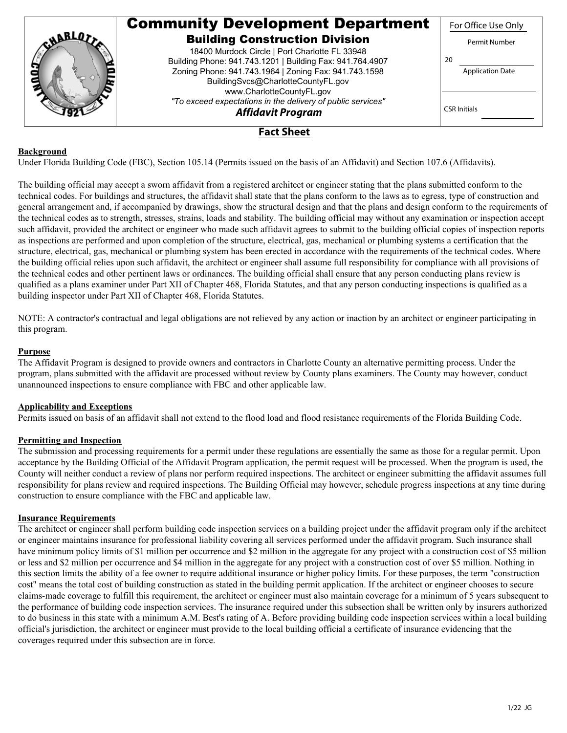|         | <b>Community Development Department</b>                     | For Office Use Only     |
|---------|-------------------------------------------------------------|-------------------------|
| ABBLOT. | <b>Building Construction Division</b>                       | Permit Number           |
|         | 18400 Murdock Circle   Port Charlotte FL 33948              |                         |
|         | Building Phone: 941.743.1201   Building Fax: 941.764.4907   | 20                      |
|         | Zoning Phone: 941.743.1964   Zoning Fax: 941.743.1598       | <b>Application Date</b> |
|         | BuildingSvcs@CharlotteCountyFL.gov                          |                         |
|         | www.CharlotteCountyFL.gov                                   |                         |
|         | "To exceed expectations in the delivery of public services" | <b>CSR Initials</b>     |
|         | <b>Affidavit Program</b>                                    |                         |
|         | <b>Fact Sheet</b>                                           |                         |

# **Background**

Under Florida Building Code (FBC), Section 105.14 (Permits issued on the basis of an Affidavit) and Section 107.6 (Affidavits).

The building official may accept a sworn affidavit from a registered architect or engineer stating that the plans submitted conform to the technical codes. For buildings and structures, the affidavit shall state that the plans conform to the laws as to egress, type of construction and general arrangement and, if accompanied by drawings, show the structural design and that the plans and design conform to the requirements of the technical codes as to strength, stresses, strains, loads and stability. The building official may without any examination or inspection accept such affidavit, provided the architect or engineer who made such affidavit agrees to submit to the building official copies of inspection reports as inspections are performed and upon completion of the structure, electrical, gas, mechanical or plumbing systems a certification that the structure, electrical, gas, mechanical or plumbing system has been erected in accordance with the requirements of the technical codes. Where the building official relies upon such affidavit, the architect or engineer shall assume full responsibility for compliance with all provisions of the technical codes and other pertinent laws or ordinances. The building official shall ensure that any person conducting plans review is qualified as a plans examiner under Part XII of Chapter 468, Florida Statutes, and that any person conducting inspections is qualified as a building inspector under Part XII of Chapter 468, Florida Statutes.

NOTE: A contractor's contractual and legal obligations are not relieved by any action or inaction by an architect or engineer participating in this program.

#### **Purpose**

The Affidavit Program is designed to provide owners and contractors in Charlotte County an alternative permitting process. Under the program, plans submitted with the affidavit are processed without review by County plans examiners. The County may however, conduct unannounced inspections to ensure compliance with FBC and other applicable law.

## **Applicability and Exceptions**

Permits issued on basis of an affidavit shall not extend to the flood load and flood resistance requirements of the Florida Building Code.

## **Permitting and Inspection**

The submission and processing requirements for a permit under these regulations are essentially the same as those for a regular permit. Upon acceptance by the Building Official of the Affidavit Program application, the permit request will be processed. When the program is used, the County will neither conduct a review of plans nor perform required inspections. The architect or engineer submitting the affidavit assumes full responsibility for plans review and required inspections. The Building Official may however, schedule progress inspections at any time during construction to ensure compliance with the FBC and applicable law.

#### **Insurance Requirements**

The architect or engineer shall perform building code inspection services on a building project under the affidavit program only if the architect or engineer maintains insurance for professional liability covering all services performed under the affidavit program. Such insurance shall have minimum policy limits of \$1 million per occurrence and \$2 million in the aggregate for any project with a construction cost of \$5 million or less and \$2 million per occurrence and \$4 million in the aggregate for any project with a construction cost of over \$5 million. Nothing in this section limits the ability of a fee owner to require additional insurance or higher policy limits. For these purposes, the term "construction cost" means the total cost of building construction as stated in the building permit application. If the architect or engineer chooses to secure claims-made coverage to fulfill this requirement, the architect or engineer must also maintain coverage for a minimum of 5 years subsequent to the performance of building code inspection services. The insurance required under this subsection shall be written only by insurers authorized to do business in this state with a minimum A.M. Best's rating of A. Before providing building code inspection services within a local building official's jurisdiction, the architect or engineer must provide to the local building official a certificate of insurance evidencing that the coverages required under this subsection are in force.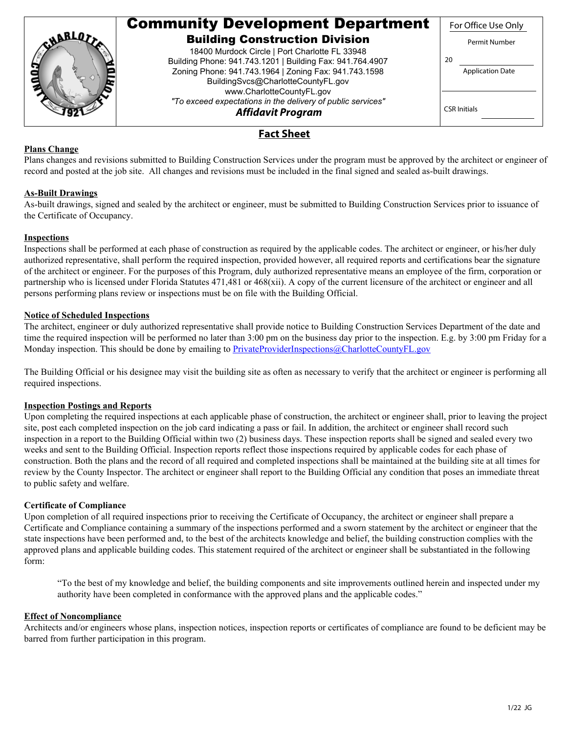|          | <b>Community Development Department</b>                     | For Office Use Only     |
|----------|-------------------------------------------------------------|-------------------------|
| CHARLOS. | <b>Building Construction Division</b>                       | Permit Number           |
|          | 18400 Murdock Circle   Port Charlotte FL 33948              |                         |
|          | Building Phone: 941.743.1201   Building Fax: 941.764.4907   | 20                      |
|          | Zoning Phone: 941.743.1964   Zoning Fax: 941.743.1598       | <b>Application Date</b> |
|          | BuildingSvcs@CharlotteCountyFL.gov                          |                         |
|          | www.CharlotteCountyFL.gov                                   |                         |
|          | "To exceed expectations in the delivery of public services" |                         |
|          | <b>Affidavit Program</b>                                    | <b>CSR Initials</b>     |
|          | Fact Sheet                                                  |                         |

# **Plans Change**

Plans changes and revisions submitted to Building Construction Services under the program must be approved by the architect or engineer of record and posted at the job site. All changes and revisions must be included in the final signed and sealed as-built drawings.

# **As-Built Drawings**

As-built drawings, signed and sealed by the architect or engineer, must be submitted to Building Construction Services prior to issuance of the Certificate of Occupancy.

## **Inspections**

Inspections shall be performed at each phase of construction as required by the applicable codes. The architect or engineer, or his/her duly authorized representative, shall perform the required inspection, provided however, all required reports and certifications bear the signature of the architect or engineer. For the purposes of this Program, duly authorized representative means an employee of the firm, corporation or partnership who is licensed under Florida Statutes 471,481 or 468(xii). A copy of the current licensure of the architect or engineer and all persons performing plans review or inspections must be on file with the Building Official.

# **Notice of Scheduled Inspections**

The architect, engineer or duly authorized representative shall provide notice to Building Construction Services Department of the date and time the required inspection will be performed no later than 3:00 pm on the business day prior to the inspection. E.g. by 3:00 pm Friday for a Monday inspection. This should be done by emailing to [PrivateProviderInspections@CharlotteCountyFL.gov](mailto:PrivateProviderInspections@CharlotteCountyFL.gov)

The Building Official or his designee may visit the building site as often as necessary to verify that the architect or engineer is performing all required inspections.

#### **Inspection Postings and Reports**

Upon completing the required inspections at each applicable phase of construction, the architect or engineer shall, prior to leaving the project site, post each completed inspection on the job card indicating a pass or fail. In addition, the architect or engineer shall record such inspection in a report to the Building Official within two (2) business days. These inspection reports shall be signed and sealed every two weeks and sent to the Building Official. Inspection reports reflect those inspections required by applicable codes for each phase of construction. Both the plans and the record of all required and completed inspections shall be maintained at the building site at all times for review by the County Inspector. The architect or engineer shall report to the Building Official any condition that poses an immediate threat to public safety and welfare.

#### **Certificate of Compliance**

Upon completion of all required inspections prior to receiving the Certificate of Occupancy, the architect or engineer shall prepare a Certificate and Compliance containing a summary of the inspections performed and a sworn statement by the architect or engineer that the state inspections have been performed and, to the best of the architects knowledge and belief, the building construction complies with the approved plans and applicable building codes. This statement required of the architect or engineer shall be substantiated in the following form:

"To the best of my knowledge and belief, the building components and site improvements outlined herein and inspected under my authority have been completed in conformance with the approved plans and the applicable codes."

#### **Effect of Noncompliance**

Architects and/or engineers whose plans, inspection notices, inspection reports or certificates of compliance are found to be deficient may be barred from further participation in this program.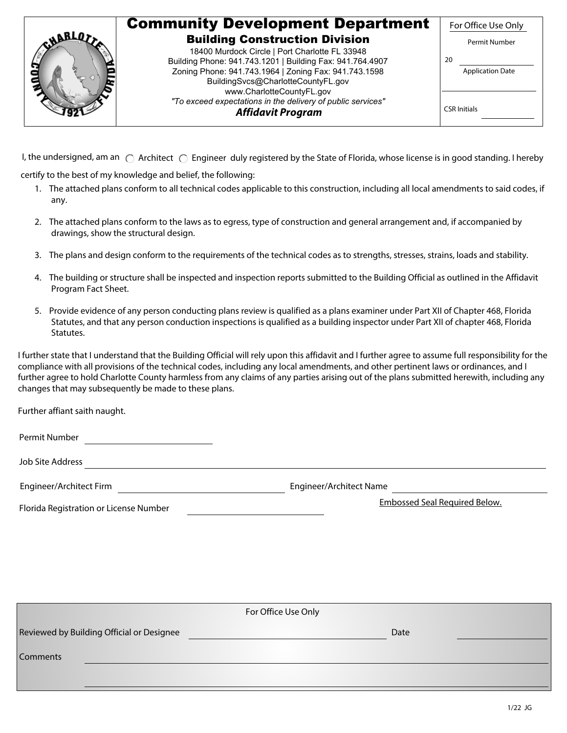|  | <b>Community Development Department</b>                                                                     | For Office Use Only     |
|--|-------------------------------------------------------------------------------------------------------------|-------------------------|
|  | <b>Building Construction Division</b>                                                                       | Permit Number           |
|  | 18400 Murdock Circle   Port Charlotte FL 33948<br>Building Phone: 941.743.1201   Building Fax: 941.764.4907 | -20                     |
|  | Zoning Phone: 941.743.1964   Zoning Fax: 941.743.1598                                                       | <b>Application Date</b> |
|  | BuildingSvcs@CharlotteCountyFL.gov<br>www.CharlotteCountyFL.gov                                             |                         |
|  | "To exceed expectations in the delivery of public services"                                                 | <b>CSR</b> Initials     |
|  | <b>Affidavit Program</b>                                                                                    |                         |

I, the undersigned, am an  $\bigcirc$  Architect  $\bigcirc$  Engineer duly registered by the State of Florida, whose license is in good standing. I hereby

certify to the best of my knowledge and belief, the following:

- 1. The attached plans conform to all technical codes applicable to this construction, including all local amendments to said codes, if any.
- 2. The attached plans conform to the laws as to egress, type of construction and general arrangement and, if accompanied by drawings, show the structural design.
- 3. The plans and design conform to the requirements of the technical codes as to strengths, stresses, strains, loads and stability.
- 4. The building or structure shall be inspected and inspection reports submitted to the Building Official as outlined in the Affidavit Program Fact Sheet.
- 5. Provide evidence of any person conducting plans review is qualified as a plans examiner under Part XII of Chapter 468, Florida Statutes, and that any person conduction inspections is qualified as a building inspector under Part XII of chapter 468, Florida Statutes.

I further state that I understand that the Building Official will rely upon this affidavit and I further agree to assume full responsibility for the compliance with all provisions of the technical codes, including any local amendments, and other pertinent laws or ordinances, and I further agree to hold Charlotte County harmless from any claims of any parties arising out of the plans submitted herewith, including any changes that may subsequently be made to these plans.

Further affiant saith naught.

Permit Number

Job Site Address

Engineer/Architect Firm Engineer/Architect Name

Florida Registration or License Number

Embossed Seal Required Below.

|                                           | For Office Use Only |
|-------------------------------------------|---------------------|
| Reviewed by Building Official or Designee | Date                |
| <b>Comments</b>                           |                     |
|                                           |                     |